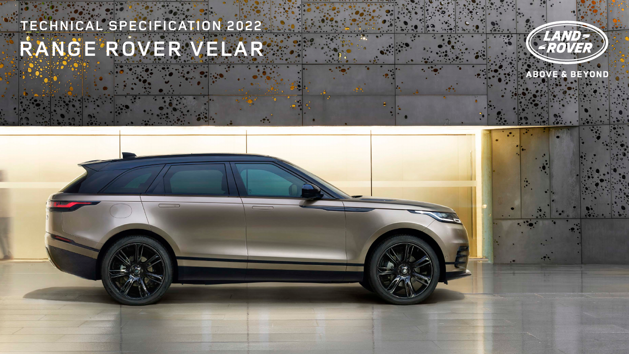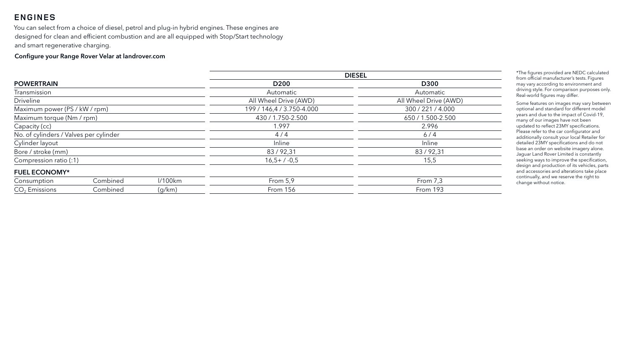# **ENGINES**

You can select from a choice of diesel, petrol and plug-in hybrid engines. These engines are designed for clean and efficient combustion and are all equipped with Stop/Start technology and smart regenerative charging.

#### Configure your Range Rover Velar at landrover.com

\*The figures provided are NEDC calculated from official manufacturer's tests. Figures may vary according to environment and driving style. For comparison purposes only. Real-world figures may differ.

|                                        |         | <b>DIESEL</b>             |                       |
|----------------------------------------|---------|---------------------------|-----------------------|
| <b>POWERTRAIN</b>                      |         | D <sub>200</sub>          | <b>D300</b>           |
| Transmission                           |         | Automatic                 | Automatic             |
| <b>Driveline</b>                       |         | All Wheel Drive (AWD)     | All Wheel Drive (AWD) |
| Maximum power (PS / kW / rpm)          |         | 199 / 146,4 / 3.750-4.000 | 300 / 221 / 4.000     |
| Maximum torque (Nm / rpm)              |         | 430 / 1.750-2.500         | 650 / 1.500-2.500     |
| Capacity (cc)                          |         | 1.997                     | 2.996                 |
| No. of cylinders / Valves per cylinder |         | 4/4                       | 6/4                   |
| Cylinder layout                        |         | <b>Inline</b>             | Inline                |
| Bore / stroke (mm)                     |         | 83/92,31                  | 83/92,31              |
| Compression ratio (:1)                 |         | $16,5+/-0,5$              | 15,5                  |
| <b>FUEL ECONOMY*</b>                   |         |                           |                       |
| Combined<br>Consumption                | 1/100km | From 5,9                  | From $7,3$            |
| $CO2$ Emissions<br>Combined            | (g/km)  | <b>From 156</b>           | From 193              |

| <b>D300</b> |
|-------------|
| tomatic     |
| Drive (AWD) |
| 221/4.000   |
| .500-2.500  |
| 2.996       |
| 6/4         |
| nline       |
| /92,31      |
| 15,5        |
|             |
| om 7,3      |
| วm 193      |
|             |

Some features on images may vary between optional and standard for different model years and due to the impact of Covid-19, many of our images have not been updated to reflect 23MY specifications. Please refer to the car configurator and additionally consult your local Retailer for detailed 23MY specifications and do not base an order on website imagery alone. Jaguar Land Rover Limited is constantly seeking ways to improve the specification, design and production of its vehicles, parts and accessories and alterations take place continually, and we reserve the right to change without notice.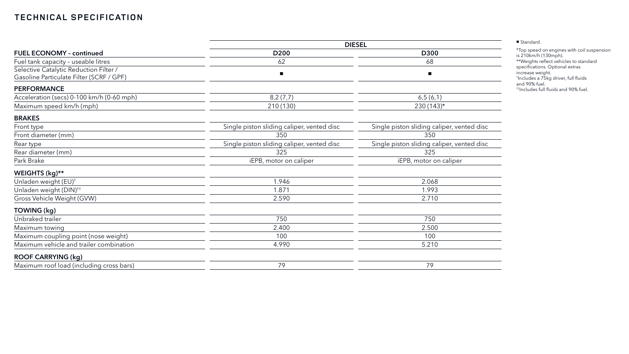|                                                                                    | <b>DIESEL</b>                              |                                            |  |  |
|------------------------------------------------------------------------------------|--------------------------------------------|--------------------------------------------|--|--|
| <b>FUEL ECONOMY - continued</b>                                                    | D <sub>200</sub>                           | <b>D300</b><br>68                          |  |  |
| Fuel tank capacity - useable litres                                                | 62                                         |                                            |  |  |
| Selective Catalytic Reduction Filter /<br>Gasoline Particulate Filter (SCRF / GPF) | $\blacksquare$                             |                                            |  |  |
| <b>PERFORMANCE</b>                                                                 |                                            |                                            |  |  |
| Acceleration (secs) 0-100 km/h (0-60 mph)                                          | 8,2(7,7)                                   | 6,5(6,1)                                   |  |  |
| Maximum speed km/h (mph)                                                           | 210 (130)                                  | $230(143)*$                                |  |  |
| <b>BRAKES</b>                                                                      |                                            |                                            |  |  |
| Front type                                                                         | Single piston sliding caliper, vented disc | Single piston sliding caliper, vented disc |  |  |
| Front diameter (mm)                                                                | 350                                        | 350                                        |  |  |
| Rear type                                                                          | Single piston sliding caliper, vented disc | Single piston sliding caliper, vented disc |  |  |
| Rear diameter (mm)                                                                 | 325                                        | 325                                        |  |  |
| Park Brake                                                                         | iEPB, motor on caliper                     | iEPB, motor on caliper                     |  |  |
| WEIGHTS (kg)**                                                                     |                                            |                                            |  |  |
| Unladen weight (EU) <sup>+</sup>                                                   | 1.946                                      | 2.068                                      |  |  |
| Unladen weight (DIN) <sup>++</sup>                                                 | 1.871                                      | 1.993                                      |  |  |
| Gross Vehicle Weight (GVW)                                                         | 2.590                                      | 2.710                                      |  |  |
| <b>TOWING (kg)</b>                                                                 |                                            |                                            |  |  |
| Unbraked trailer                                                                   | 750                                        | 750                                        |  |  |
| Maximum towing                                                                     | 2.400                                      | 2.500                                      |  |  |
| Maximum coupling point (nose weight)                                               | 100                                        | 100                                        |  |  |
| Maximum vehicle and trailer combination                                            | 4.990                                      | 5.210                                      |  |  |
| <b>ROOF CARRYING (kg)</b>                                                          |                                            |                                            |  |  |
| Maximum roof load (including cross bars)                                           | 79                                         | 79                                         |  |  |

| ■ Standard. |  |
|-------------|--|
|             |  |

\*Top speed on engines with coil suspension is 210km/h (130mph). \*\*Weights reflect vehicles to standard specifications. Optional extras increase weight. † Includes a 75kg driver, full fluids and 90% fuel. ††Includes full fluids and 90% fuel.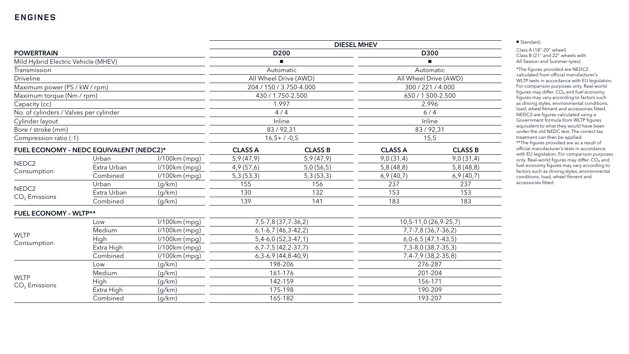|                                        |                                         |                 | <b>DIESEL MHEV</b>          |                               |                         |                       |
|----------------------------------------|-----------------------------------------|-----------------|-----------------------------|-------------------------------|-------------------------|-----------------------|
| <b>POWERTRAIN</b>                      |                                         |                 | D <sub>200</sub>            |                               | D300                    |                       |
| Mild Hybrid Electric Vehicle (MHEV)    |                                         |                 |                             |                               |                         |                       |
| Transmission                           |                                         |                 |                             | Automatic                     | Automatic               |                       |
| <b>Driveline</b>                       |                                         |                 |                             | All Wheel Drive (AWD)         |                         | All Wheel Drive (AWD) |
| Maximum power (PS / kW / rpm)          |                                         |                 |                             | 204 / 150 / 3.750-4.000       | 300 / 221 / 4.000       |                       |
| Maximum torque (Nm / rpm)              |                                         |                 |                             | 430 / 1.750-2.500             | 650 / 1.500-2.500       |                       |
| Capacity (cc)                          |                                         |                 |                             | 1.997                         | 2.996                   |                       |
| No. of cylinders / Valves per cylinder |                                         |                 |                             | 4/4                           |                         | $6/4$                 |
| Cylinder layout                        |                                         |                 |                             | <b>Inline</b>                 |                         | Inline                |
| Bore / stroke (mm)                     |                                         |                 | 83/92,31                    |                               | 83/92,31                |                       |
| Compression ratio (:1)                 |                                         |                 |                             | $16,5+7.0,5$                  |                         | 15,5                  |
|                                        | FUEL ECONOMY - NEDC EQUIVALENT (NEDC2)* |                 | <b>CLASS A</b>              | <b>CLASS B</b>                | <b>CLASS A</b>          | <b>CLASS B</b>        |
|                                        | Urban                                   | $1/100km$ (mpg) | 5,9(47,9)                   | 5,9(47,9)                     | 9,0(31,4)               | 9,0(31,4)             |
| NEDC <sub>2</sub>                      | Extra Urban                             | $1/100km$ (mpg) | 4,9(57,6)                   | 5,0(56,5)                     | 5,8(48,8)               | 5,8(48,8)             |
| Consumption                            | Combined                                | $1/100km$ (mpg) | 5,3(53,3)                   | 5,3(53,3)                     | 6,9(40,7)               | 6,9(40,7)             |
|                                        | Urban                                   | (g/km)          | 155                         | 156                           | 237                     | 237                   |
| NEDC <sub>2</sub><br>$CO2$ Emissions   | Extra Urban                             | (g/km)          | 130                         | 132                           | 153                     | 153                   |
|                                        | Combined                                | (g/km)          | 139                         | 141                           | 183                     | 183                   |
| <b>FUEL ECONOMY - WLTP**</b>           |                                         |                 |                             |                               |                         |                       |
|                                        | Low                                     | $1/100km$ (mpg) | 7, 5 - 7, 8 (37, 7 - 36, 2) |                               | 10,5-11,0 (26,9-25,7)   |                       |
|                                        | Medium                                  | $1/100km$ (mpg) |                             | $6, 1 - 6, 7$ (46, 3-42, 2)   |                         | 7,7-7,8 (36,7-36,2)   |
| <b>WLTP</b>                            | High                                    | $1/100km$ (mpg) |                             | $5,4-6,0(52,3-47,1)$          |                         | $6,0-6,5(47,1-43,5)$  |
| Consumption                            | Extra High                              | $1/100km$ (mpg) |                             | $6, 7 - 7, 5 (42, 2 - 37, 7)$ | 7, 3-8, 0 (38, 7-35, 3) |                       |
|                                        | Combined                                | $1/100km$ (mpg) |                             | $6,3-6,9(44,8-40,9)$          |                         | 7,4-7,9 (38,2-35,8)   |
|                                        | Low                                     | (g/km)          |                             | 198-206                       |                         | 276-287               |
|                                        | Medium                                  | (g/km)          |                             | 161-176                       |                         | 201-204               |
| <b>WLTP</b>                            | High                                    | (g/km)          |                             | 142-159                       | 156-171                 |                       |
| $CO2$ Emissions                        | Extra High                              | (g/km)          |                             | 175-198                       |                         | 190-209               |
| Combined<br>165-182<br>(g/km)          |                                         |                 | 193-207                     |                               |                         |                       |
|                                        |                                         |                 |                             |                               |                         |                       |

## **ENGINES**

Class A (18"-20" wheel) Class B (21" and 22" wheels with All Season and Summer tyres).

\*The figures provided are NEDC2 calculated from official manufacturer's WLTP tests in accordance with EU legislation. For comparison purposes only. Real-world figures may differ. CO<sub>2</sub> and fuel economy figures may vary according to factors such as driving styles, environmental conditions, load, wheel fitment and accessories fitted. NEDC2 are figures calculated using a Government formula from WLTP figures equivalent to what they would have been under the old NEDC test. The correct tax treatment can then be applied.

\*\*The figures provided are as a result of official manufacturer's tests in accordance with EU legislation. For comparison purposes only. Real-world figures may differ. CO<sub>2</sub> and fuel economy figures may vary according to factors such as driving styles, environmental conditions, load, wheel fitment and accessories fitted.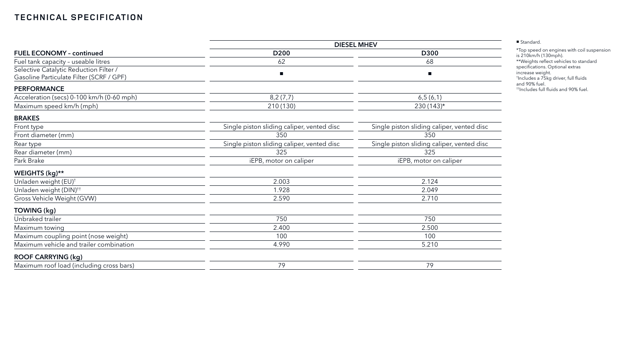|                                                                                    | <b>DIESEL MHEV</b>                         |                                            |  |  |
|------------------------------------------------------------------------------------|--------------------------------------------|--------------------------------------------|--|--|
| <b>FUEL ECONOMY - continued</b>                                                    | D <sub>200</sub>                           | <b>D300</b><br>68                          |  |  |
| Fuel tank capacity - useable litres                                                | 62                                         |                                            |  |  |
| Selective Catalytic Reduction Filter /<br>Gasoline Particulate Filter (SCRF / GPF) | $\blacksquare$                             |                                            |  |  |
| <b>PERFORMANCE</b>                                                                 |                                            |                                            |  |  |
| Acceleration (secs) 0-100 km/h (0-60 mph)                                          | 8,2(7,7)                                   | 6,5(6,1)                                   |  |  |
| Maximum speed km/h (mph)                                                           | 210 (130)                                  | $230(143)*$                                |  |  |
| <b>BRAKES</b>                                                                      |                                            |                                            |  |  |
| Front type                                                                         | Single piston sliding caliper, vented disc | Single piston sliding caliper, vented disc |  |  |
| Front diameter (mm)                                                                | 350                                        | 350                                        |  |  |
| Rear type                                                                          | Single piston sliding caliper, vented disc | Single piston sliding caliper, vented disc |  |  |
| Rear diameter (mm)                                                                 | 325                                        | 325                                        |  |  |
| Park Brake                                                                         | iEPB, motor on caliper                     | iEPB, motor on caliper                     |  |  |
| WEIGHTS (kg)**                                                                     |                                            |                                            |  |  |
| Unladen weight (EU) <sup>+</sup>                                                   | 2.003                                      | 2.124                                      |  |  |
| Unladen weight (DIN) <sup>++</sup>                                                 | 1.928                                      | 2.049                                      |  |  |
| Gross Vehicle Weight (GVW)                                                         | 2.590                                      | 2.710                                      |  |  |
| <b>TOWING (kg)</b>                                                                 |                                            |                                            |  |  |
| Unbraked trailer                                                                   | 750                                        | 750                                        |  |  |
| Maximum towing                                                                     | 2.400                                      | 2.500                                      |  |  |
| Maximum coupling point (nose weight)                                               | 100                                        | 100                                        |  |  |
| Maximum vehicle and trailer combination                                            | 4.990                                      | 5.210                                      |  |  |
| <b>ROOF CARRYING (kg)</b>                                                          |                                            |                                            |  |  |
| Maximum roof load (including cross bars)                                           | 79                                         | 79                                         |  |  |

| Standard. |
|-----------|
|           |

\*Top speed on engines with coil suspension is 210km/h (130mph). \*\*Weights reflect vehicles to standard specifications. Optional extras increase weight. † Includes a 75kg driver, full fluids and 90% fuel. ††Includes full fluids and 90% fuel.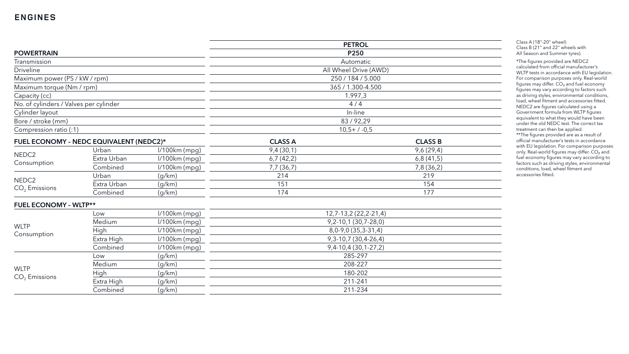## **ENGINES**

|                                        |                                         |                 | <b>PETROL</b>         |                          |  |
|----------------------------------------|-----------------------------------------|-----------------|-----------------------|--------------------------|--|
| <b>POWERTRAIN</b>                      |                                         |                 | P250                  |                          |  |
| Transmission                           |                                         |                 |                       | Automatic                |  |
| <b>Driveline</b>                       |                                         |                 |                       | All Wheel Drive (AWD)    |  |
| Maximum power (PS / kW / rpm)          |                                         |                 |                       | 250 / 184 / 5.000        |  |
| Maximum torque (Nm / rpm)              |                                         |                 |                       | 365 / 1.300-4.500        |  |
| Capacity (cc)                          |                                         |                 |                       | 1.997,3                  |  |
| No. of cylinders / Valves per cylinder |                                         |                 |                       | 4/4                      |  |
| Cylinder layout                        |                                         |                 |                       | In-line                  |  |
| Bore / stroke (mm)                     |                                         |                 |                       | 83/92,29                 |  |
| Compression ratio (:1)                 |                                         |                 |                       | $10,5+7-0,5$             |  |
|                                        | FUEL ECONOMY - NEDC EQUIVALENT (NEDC2)* |                 | <b>CLASS A</b>        | <b>CLASS B</b>           |  |
|                                        | Urban                                   | I/100km (mpg)   | 9,4(30,1)             | 9,6(29,4)                |  |
| NEDC <sub>2</sub>                      | Extra Urban                             | $1/100km$ (mpg) | 6,7(42,2)             | 6,8(41,5)                |  |
| Consumption                            | Combined                                | $1/100km$ (mpg) | 7,7(36,7)             | 7,8 (36,2)               |  |
| NEDC <sub>2</sub>                      | Urban                                   | (g/km)          | 214                   | 219                      |  |
| $CO2$ Emissions                        | Extra Urban                             | (g/km)          | 151                   | 154                      |  |
|                                        | Combined                                | (g/km)          | 174                   | 177                      |  |
| <b>FUEL ECONOMY - WLTP**</b>           |                                         |                 |                       |                          |  |
|                                        | Low                                     | $1/100km$ (mpg) | 12,7-13,2 (22,2-21,4) |                          |  |
|                                        | Medium                                  | $1/100km$ (mpg) |                       | $9,2-10,1(30,7-28,0)$    |  |
| <b>WLTP</b><br>Consumption             | High                                    | $1/100km$ (mpg) | $8,0-9,0(35,3-31,4)$  |                          |  |
|                                        | Extra High                              | $1/100km$ (mpg) |                       | 9, 3-10, 7 (30, 4-26, 4) |  |
|                                        | Combined                                | I/100km (mpg)   | $9,4-10,4(30,1-27,2)$ |                          |  |
| (g/km)<br>Low                          |                                         |                 | 285-297               |                          |  |
| <b>WLTP</b>                            | Medium                                  | (g/km)          | 208-227               |                          |  |
| $CO2$ Emissions                        | High                                    | (g/km)          |                       | 180-202                  |  |
|                                        | Extra High                              | (g/km)          | 211-241               |                          |  |
| Combined<br>(g/km)                     |                                         |                 | 211-234               |                          |  |

| Class A (18"-20" wheel)          |
|----------------------------------|
| Class B (21" and 22" wheels with |
| All Season and Summer tyres).    |

\*The figures provided are NEDC2 calculated from official manufacturer's WLTP tests in accordance with EU legislation. For comparison purposes only. Real-world figures may differ.  $CO<sub>2</sub>$  and fuel economy figures may vary according to factors such as driving styles, environmental conditions, load, wheel fitment and accessories fitted. NEDC2 are figures calculated using a Government formula from WLTP figures equivalent to what they would have been under the old NEDC test. The correct tax treatment can then be applied.

\*\*The figures provided are as a result of official manufacturer's tests in accordance with EU legislation. For comparison purposes only. Real-world figures may differ. CO<sub>2</sub> and fuel economy figures may vary according to factors such as driving styles, environmental conditions, load, wheel fitment and accessories fitted.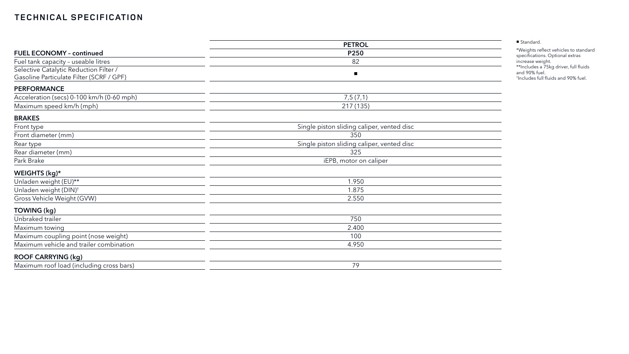|                                           | <b>PETROL</b>                              |
|-------------------------------------------|--------------------------------------------|
| <b>FUEL ECONOMY - continued</b>           | P250                                       |
| Fuel tank capacity - useable litres       | 82                                         |
| Selective Catalytic Reduction Filter /    | п                                          |
| Gasoline Particulate Filter (SCRF / GPF)  |                                            |
| <b>PERFORMANCE</b>                        |                                            |
| Acceleration (secs) 0-100 km/h (0-60 mph) | 7,5(7,1)                                   |
| Maximum speed km/h (mph)                  | 217 (135)                                  |
| <b>BRAKES</b>                             |                                            |
| Front type                                | Single piston sliding caliper, vented disc |
| Front diameter (mm)                       | 350                                        |
| Rear type                                 | Single piston sliding caliper, vented disc |
| Rear diameter (mm)                        | 325                                        |
| Park Brake                                | iEPB, motor on caliper                     |
| WEIGHTS (kg)*                             |                                            |
| Unladen weight (EU)**                     | 1.950                                      |
| Unladen weight (DIN) <sup>+</sup>         | 1.875                                      |
| Gross Vehicle Weight (GVW)                | 2.550                                      |
| TOWING (kg)                               |                                            |
| Unbraked trailer                          | 750                                        |
| Maximum towing                            | 2.400                                      |
| Maximum coupling point (nose weight)      | 100                                        |
| Maximum vehicle and trailer combination   | 4.950                                      |
| <b>ROOF CARRYING (kg)</b>                 |                                            |
| Maximum roof load (including cross bars)  | 79                                         |

\*Weights reflect vehicles to standard specifications. Optional extras increase weight. \*\*Includes a 75kg driver, full fluids and 90% fuel. † Includes full fluids and 90% fuel.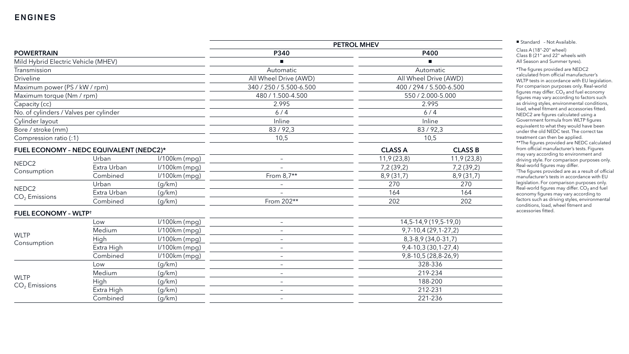|                                         |             |                 | <b>PETROL MHEV</b>       |                       |                         |
|-----------------------------------------|-------------|-----------------|--------------------------|-----------------------|-------------------------|
| <b>POWERTRAIN</b>                       |             |                 | <b>P340</b>              | <b>P400</b>           |                         |
| Mild Hybrid Electric Vehicle (MHEV)     |             |                 |                          |                       |                         |
| Transmission                            |             |                 | Automatic                |                       | Automatic               |
| <b>Driveline</b>                        |             |                 | All Wheel Drive (AWD)    | All Wheel Drive (AWD) |                         |
| Maximum power (PS / kW / rpm)           |             |                 | 340 / 250 / 5.500-6.500  |                       | 400 / 294 / 5.500-6.500 |
| Maximum torque (Nm / rpm)               |             |                 | 480 / 1.500-4.500        |                       | 550 / 2.000-5.000       |
| Capacity (cc)                           |             |                 | 2.995                    |                       | 2.995                   |
| No. of cylinders / Valves per cylinder  |             |                 | $6/4$                    | 6/4                   |                         |
| Cylinder layout                         |             |                 | Inline                   |                       | Inline                  |
| Bore / stroke (mm)                      |             |                 | 83/92,3                  |                       | 83/92,3                 |
| Compression ratio (:1)                  |             |                 | 10,5                     |                       | 10,5                    |
| FUEL ECONOMY - NEDC EQUIVALENT (NEDC2)* |             |                 |                          | <b>CLASS A</b>        | <b>CLASS B</b>          |
|                                         | Urban       | $1/100km$ (mpg) | $\overline{\phantom{m}}$ | 11,9(23,8)            | 11,9(23,8)              |
| NEDC <sub>2</sub>                       | Extra Urban | $1/100km$ (mpg) |                          | 7,2(39,2)             | 7,2(39,2)               |
| Consumption                             | Combined    | l/100km (mpg)   | From $8,7**$             | 8,9(31,7)             | 8,9(31,7)               |
| NEDC <sub>2</sub>                       | Urban       | (g/km)          |                          | 270                   | 270                     |
| $CO2$ Emissions                         | Extra Urban | (g/km)          |                          | 164                   | 164                     |
|                                         | Combined    | (g/km)          | From 202**               | 202                   | 202                     |
| <b>FUEL ECONOMY - WLTP<sup>+</sup></b>  |             |                 |                          |                       |                         |
|                                         | Low         | $1/100km$ (mpg) | $-$                      |                       | 14,5-14,9 (19,5-19,0)   |
|                                         | Medium      | $1/100km$ (mpg) | $ \,$                    |                       | $9,7-10,4(29,1-27,2)$   |
| <b>WLTP</b>                             | High        | $1/100km$ (mpg) | $\qquad \qquad -$        | $8,3-8,9(34,0-31,7)$  |                         |
| Consumption                             | Extra High  | $1/100km$ (mpg) | $\qquad \qquad -$        |                       | $9,4-10,3(30,1-27,4)$   |
|                                         | Combined    | $1/100km$ (mpg) | $-$                      |                       | 9,8-10,5 (28,8-26,9)    |
|                                         | Low         | (g/km)          | $-$                      |                       | 328-336                 |
|                                         | Medium      | (g/km)          | $ \,$                    | 219-234               |                         |
| <b>WLTP</b><br>$CO2$ Emissions          | High        | (g/km)          | $ \,$                    | 188-200               |                         |
|                                         | Extra High  | (g/km)          | $-$                      | 212-231               |                         |
|                                         | Combined    | (g/km)          | $\overline{\phantom{m}}$ |                       | 221-236                 |

■ Standard - Not Available.

Class A (18"-20" wheel) Class B (21" and 22" wheels with All Season and Summer tyres).

\*The figures provided are NEDC2 calculated from official manufacturer's WLTP tests in accordance with EU legislation. For comparison purposes only. Real-world figures may differ. CO<sub>2</sub> and fuel economy figures may vary according to factors such as driving styles, environmental conditions, load, wheel fitment and accessories fitted. NEDC2 are figures calculated using a Government formula from WLTP figures equivalent to what they would have been under the old NEDC test. The correct tax treatment can then be applied.

\*\*The figures provided are NEDC calculated from official manufacturer's tests. Figures may vary according to environment and driving style. For comparison purposes only. Real-world figures may differ.

† The figures provided are as a result of official manufacturer's tests in accordance with EU legislation. For comparison purposes only. Real-world figures may differ. CO<sub>2</sub> and fuel economy figures may vary according to factors such as driving styles, environmental conditions, load, wheel fitment and accessories fitted.

### **ENGINES**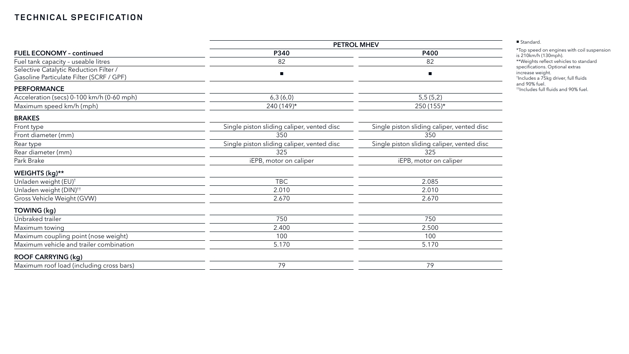|                                                                                    | <b>PETROL MHEV</b>                         |                                            |  |  |
|------------------------------------------------------------------------------------|--------------------------------------------|--------------------------------------------|--|--|
| <b>FUEL ECONOMY - continued</b>                                                    | P340                                       | P400                                       |  |  |
| Fuel tank capacity - useable litres                                                | 82                                         | 82                                         |  |  |
| Selective Catalytic Reduction Filter /<br>Gasoline Particulate Filter (SCRF / GPF) | $\blacksquare$                             | $\blacksquare$                             |  |  |
| <b>PERFORMANCE</b>                                                                 |                                            |                                            |  |  |
| Acceleration (secs) 0-100 km/h (0-60 mph)                                          | 6,3(6,0)                                   | 5,5(5,2)                                   |  |  |
| Maximum speed km/h (mph)                                                           | $240(149)^{*}$                             | $250(155)^*$                               |  |  |
| <b>BRAKES</b>                                                                      |                                            |                                            |  |  |
| Front type                                                                         | Single piston sliding caliper, vented disc | Single piston sliding caliper, vented disc |  |  |
| Front diameter (mm)                                                                | 350                                        | 350                                        |  |  |
| Rear type                                                                          | Single piston sliding caliper, vented disc | Single piston sliding caliper, vented disc |  |  |
| Rear diameter (mm)                                                                 | 325                                        | 325                                        |  |  |
| Park Brake                                                                         | iEPB, motor on caliper                     | iEPB, motor on caliper                     |  |  |
| WEIGHTS (kg)**                                                                     |                                            |                                            |  |  |
| Unladen weight (EU) <sup>+</sup>                                                   | <b>TBC</b>                                 | 2.085                                      |  |  |
| Unladen weight (DIN) <sup>++</sup>                                                 | 2.010                                      | 2.010                                      |  |  |
| Gross Vehicle Weight (GVW)                                                         | 2.670                                      | 2.670                                      |  |  |
| TOWING (kg)                                                                        |                                            |                                            |  |  |
| Unbraked trailer                                                                   | 750                                        | 750                                        |  |  |
| Maximum towing                                                                     | 2.400                                      | 2.500                                      |  |  |
| Maximum coupling point (nose weight)                                               | 100                                        | 100                                        |  |  |
| Maximum vehicle and trailer combination                                            | 5.170                                      | 5.170                                      |  |  |
| <b>ROOF CARRYING (kg)</b>                                                          |                                            |                                            |  |  |
| Maximum roof load (including cross bars)                                           | 79                                         | 79                                         |  |  |

\*Top speed on engines with coil suspension is 210km/h (130mph). \*\*Weights reflect vehicles to standard specifications. Optional extras increase weight. † Includes a 75kg driver, full fluids and 90% fuel. ††Includes full fluids and 90% fuel.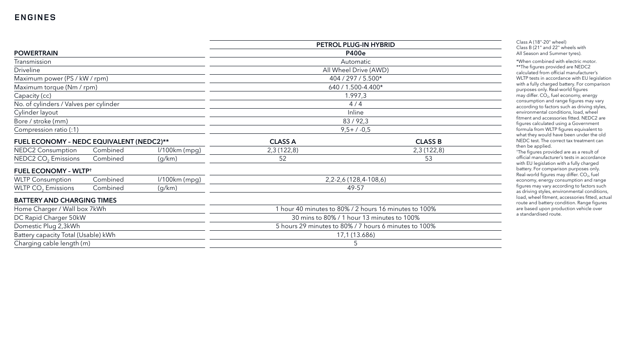|                                          |          |                 | PETROL PLUG-IN HYBRID                                 |                |
|------------------------------------------|----------|-----------------|-------------------------------------------------------|----------------|
| <b>POWERTRAIN</b>                        |          |                 | <b>P400e</b>                                          |                |
| Transmission                             |          |                 | Automatic                                             |                |
| <b>Driveline</b>                         |          |                 | All Wheel Drive (AWD)                                 |                |
| Maximum power (PS / kW / rpm)            |          |                 | 404 / 297 / 5.500*                                    |                |
| Maximum torque (Nm / rpm)                |          |                 | 640 / 1.500-4.400*                                    |                |
| Capacity (cc)                            |          |                 | 1.997,3                                               |                |
| No. of cylinders / Valves per cylinder   |          |                 | 4/4                                                   |                |
| Cylinder layout                          |          |                 | Inline                                                |                |
| Bore / stroke (mm)                       |          |                 | 83/92,3                                               |                |
| Compression ratio (:1)                   |          |                 | $9,5+7-0,5$                                           |                |
| FUEL ECONOMY - NEDC EQUIVALENT (NEDC2)** |          |                 | <b>CLASS A</b>                                        | <b>CLASS B</b> |
| <b>NEDC2 Consumption</b>                 | Combined | $1/100km$ (mpg) | 2,3(122,8)                                            | 2,3(122,8)     |
| NEDC2 CO <sub>2</sub> Emissions          | Combined | (g/km)          | 52                                                    | 53             |
| <b>FUEL ECONOMY - WLTP<sup>+</sup></b>   |          |                 |                                                       |                |
| <b>WLTP Consumption</b>                  | Combined | $1/100km$ (mpg) | 2, 2-2, 6 (128, 4-108, 6)                             |                |
| WLTP CO <sub>2</sub> Emissions           | Combined | (g/km)          | 49-57                                                 |                |
| <b>BATTERY AND CHARGING TIMES</b>        |          |                 |                                                       |                |
| Home Charger / Wall box 7kWh             |          |                 | 1 hour 40 minutes to 80% / 2 hours 16 minutes to 100% |                |
| DC Rapid Charger 50kW                    |          |                 | 30 mins to 80% / 1 hour 13 minutes to 100%            |                |
| Domestic Plug 2,3kWh                     |          |                 | 5 hours 29 minutes to 80% / 7 hours 6 minutes to 100% |                |
| Battery capacity Total (Usable) kWh      |          |                 | 17,1 (13.686)                                         |                |
| Charging cable length (m)                |          |                 | 5                                                     |                |

Class A (18"-20" wheel) Class B (21" and 22" wheels with All Season and Summer tyres).

\*When combined with electric motor. \*\*The figures provided are NEDC2 calculated from official manufacturer's WLTP tests in accordance with EU legislation with a fully charged battery. For comparison purposes only. Real-world figures may differ. CO 2, fuel economy, energy consumption and range figures may vary according to factors such as driving styles, environmental conditions, load, wheel fitment and accessories fitted. NEDC2 are figures calculated using a Government formula from WLTP figures equivalent to what they would have been under the old NEDC test. The correct tax treatment can then be applied.

† The figures provided are as a result of official manufacturer's tests in accordance with EU legislation with a fully charged battery. For comparison purposes only. Real -world figures may differ. CO 2, fuel economy, energy consumption and range figures may vary according to factors such as driving styles, environmental conditions, load, wheel fitment, accessories fitted, actual route and battery condition. Range figures are based upon production vehicle over a standardised route.

### **ENGINES**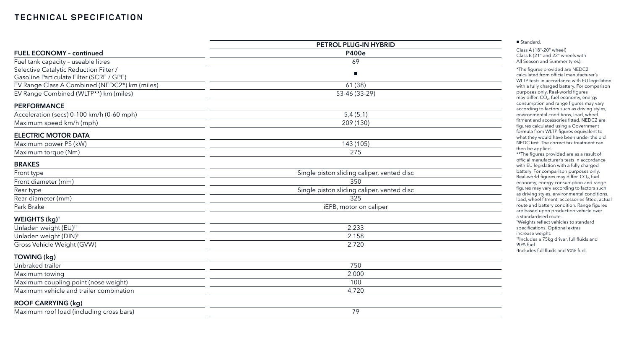|                                               | PETROL PLUG-IN HYBRID                      |  |
|-----------------------------------------------|--------------------------------------------|--|
| <b>FUEL ECONOMY - continued</b>               | <b>P400e</b>                               |  |
| Fuel tank capacity - useable litres           | 69                                         |  |
| Selective Catalytic Reduction Filter /        | ш                                          |  |
| Gasoline Particulate Filter (SCRF / GPF)      |                                            |  |
| EV Range Class A Combined (NEDC2*) km (miles) | 61(38)                                     |  |
| EV Range Combined (WLTP**) km (miles)         | 53-46 (33-29)                              |  |
| <b>PERFORMANCE</b>                            |                                            |  |
| Acceleration (secs) 0-100 km/h (0-60 mph)     | 5,4(5,1)                                   |  |
| Maximum speed km/h (mph)                      | 209 (130)                                  |  |
| <b>ELECTRIC MOTOR DATA</b>                    |                                            |  |
| Maximum power PS (kW)                         | 143 (105)                                  |  |
| Maximum torque (Nm)                           | 275                                        |  |
| <b>BRAKES</b>                                 |                                            |  |
| Front type                                    | Single piston sliding caliper, vented disc |  |
| Front diameter (mm)                           | 350                                        |  |
| Rear type                                     | Single piston sliding caliper, vented disc |  |
| Rear diameter (mm)                            | 325                                        |  |
| Park Brake                                    | iEPB, motor on caliper                     |  |
| WEIGHTS (kg) <sup>+</sup>                     |                                            |  |
| Unladen weight (EU) <sup>++</sup>             | 2.233                                      |  |
| Unladen weight (DIN) <sup>#</sup>             | 2.158                                      |  |
| Gross Vehicle Weight (GVW)                    | 2.720                                      |  |
| TOWING (kg)                                   |                                            |  |
| Unbraked trailer                              | 750                                        |  |
| Maximum towing                                | 2.000                                      |  |
| Maximum coupling point (nose weight)          | 100                                        |  |
| Maximum vehicle and trailer combination       | 4.720                                      |  |
| <b>ROOF CARRYING (kg)</b>                     |                                            |  |
| Maximum roof load (including cross bars)      | 79                                         |  |

Class A (18"-20" wheel) Class B (21" and 22" wheels with All Season and Summer tyres).

\*The figures provided are NEDC2 calculated from official manufacturer's WLTP tests in accordance with EU legislation with a fully charged battery. For comparison purposes only. Real-world figures may differ. CO 2, fuel economy, energy consumption and range figures may vary according to factors such as driving styles, environmental conditions, load, wheel fitment and accessories fitted. NEDC2 are figures calculated using a Government formula from WLTP figures equivalent to what they would have been under the old NEDC test. The correct tax treatment can then be applied.

\*\*The figures provided are as a result of official manufacturer's tests in accordance with EU legislation with a fully charged battery. For comparison purposes only. Real -world figures may differ. CO 2, fuel economy, energy consumption and range figures may vary according to factors such as driving styles, environmental conditions, load, wheel fitment, accessories fitted, actual route and battery condition. Range figures are based upon production vehicle over a standardised route.

† Weights reflect vehicles to standard specifications. Optional extras increase weight.

††Includes a 75kg driver, full fluids and 90% fuel.

‡ Includes full fluids and 90% fuel.